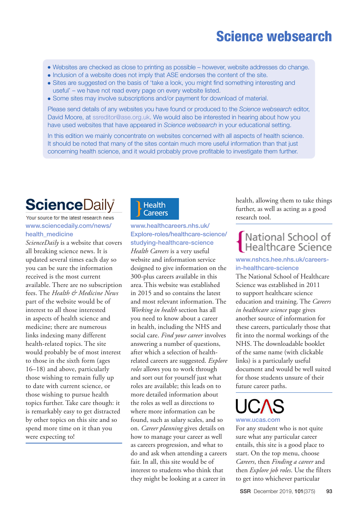## Science websearch

- Websites are checked as close to printing as possible however, website addresses do change.
- Inclusion of a website does not imply that ASE endorses the content of the site.
- Sites are suggested on the basis of 'take a look, you might find something interesting and useful' – we have not read every page on every website listed.
- Some sites may involve subscriptions and/or payment for download of material.

Please send details of any websites you have found or produced to the *Science websearch* editor, David Moore, at [ssreditor@ase.org.uk](mailto:ssreditor%40ase.org.uk?subject=). We would also be interested in hearing about how you have used websites that have appeared in *Science websearch* in your educational setting.

In this edition we mainly concentrate on websites concerned with all aspects of health science. It should be noted that many of the sites contain much more useful information than that just concerning health science, and it would probably prove profitable to investigate them further.

# **ScienceDaily**

#### Your source for the latest research news [www.sciencedaily.com/news/](https://www.sciencedaily.com/news/health_medicine/) health medicine

*ScienceDaily* is a website that covers all breaking science news. It is updated several times each day so you can be sure the information received is the most current available. There are no subscription fees. The *Health & Medicine News* part of the website would be of interest to all those interested in aspects of health science and medicine; there are numerous links indexing many different health-related topics. The site would probably be of most interest to those in the sixth form (ages 16–18) and above, particularly those wishing to remain fully up to date with current science, or those wishing to pursue health topics further. Take care though: it is remarkably easy to get distracted by other topics on this site and so spend more time on it than you were expecting to!

## **Health** Careers

## [www.healthcareers.nhs.uk/](https://www.healthcareers.nhs.uk/Explore-roles/healthcare-science/studying-healthcare-science) [Explore-roles/healthcare-science/](https://www.healthcareers.nhs.uk/Explore-roles/healthcare-science/studying-healthcare-science) [studying-healthcare-science](https://www.healthcareers.nhs.uk/Explore-roles/healthcare-science/studying-healthcare-science) *Health Careers* is a very useful website and information service

designed to give information on the 300-plus careers available in this area. This website was established in 2015 and so contains the latest and most relevant information. The *Working in health* section has all you need to know about a career in health, including the NHS and social care. *Find your career* involves answering a number of questions, after which a selection of healthrelated careers are suggested. *Explore roles* allows you to work through and sort out for yourself just what roles are available; this leads on to more detailed information about the roles as well as directions to where more information can be found, such as salary scales, and so on. *Career planning* gives details on how to manage your career as well as careers progression, and what to do and ask when attending a careers fair. In all, this site would be of interest to students who think that they might be looking at a career in

health, allowing them to take things further, as well as acting as a good research tool.

# National School of<br>Healthcare Science

#### [www.nshcs.hee.nhs.uk/careers](https://www.nshcs.hee.nhs.uk/careers-in-healthcare-science)[in-healthcare-science](https://www.nshcs.hee.nhs.uk/careers-in-healthcare-science)

The National School of Healthcare Science was established in 2011 to support healthcare science education and training. The *Careers in healthcare science* page gives another source of information for these careers, particularly those that fit into the normal workings of the NHS. The downloadable booklet of the same name (with clickable links) is a particularly useful document and would be well suited for those students unsure of their future career paths.

# [www.ucas.com](https://www.ucas.com/)

For any student who is not quite sure what any particular career entails, this site is a good place to start. On the top menu, choose *Careers*, then *Finding a career* and then *Explore job roles*. Use the filters to get into whichever particular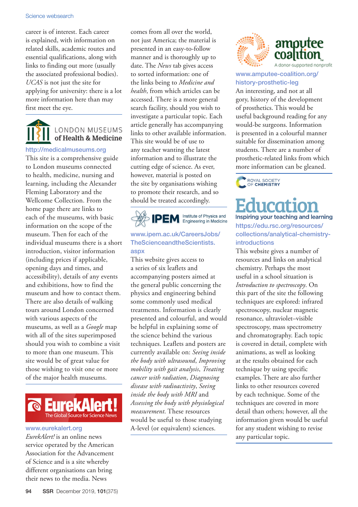#### Science websearch

career is of interest. Each career is explained, with information on related skills, academic routes and essential qualifications, along with links to finding out more (usually the associated professional bodies). *UCAS* is not just the site for applying for university: there is a lot more information here than may first meet the eye.

## **LONDON MUSEUMS** of Health & Medicine

#### [http://medicalmuseums.org](http://medicalmuseums.org/)

This site is a comprehensive guide to London museums connected to health, medicine, nursing and learning, including the Alexander Fleming Laboratory and the Wellcome Collection. From the home page there are links to each of the museums, with basic information on the scope of the museum. Then for each of the individual museums there is a short introduction, visitor information (including prices if applicable, opening days and times, and accessibility), details of any events and exhibitions, how to find the museum and how to contact them. There are also details of walking tours around London concerned with various aspects of the museums, as well as a *Google* map with all of the sites superimposed should you wish to combine a visit to more than one museum. This site would be of great value for those wishing to visit one or more of the major health museums.



#### [www.eurekalert.org](https://www.eurekalert.org)

*EurekAlert!* is an online news service operated by the American Association for the Advancement of Science and is a site whereby different organisations can bring their news to the media. News

comes from all over the world, not just America; the material is presented in an easy-to-follow manner and is thoroughly up to date. The *News* tab gives access to sorted information: one of the links being to *Medicine and health*, from which articles can be accessed. There is a more general search facility, should you wish to investigate a particular topic. Each article generally has accompanying links to other available information. This site would be of use to any teacher wanting the latest information and to illustrate the cutting edge of science. As ever, however, material is posted on the site by organisations wishing to promote their research, and so should be treated accordingly.



#### [www.ipem.ac.uk/CareersJobs/](https://www.ipem.ac.uk/CareersJobs/TheScienceandtheScientists.aspx) **[TheScienceandtheScientists.](https://www.ipem.ac.uk/CareersJobs/TheScienceandtheScientists.aspx)** [aspx](https://www.ipem.ac.uk/CareersJobs/TheScienceandtheScientists.aspx)

This website gives access to a series of six leaflets and accompanying posters aimed at the general public concerning the physics and engineering behind some commonly used medical treatments. Information is clearly presented and colourful, and would be helpful in explaining some of the science behind the various techniques. Leaflets and posters are currently available on: *Seeing inside the body with ultrasound*, *Improving mobility with gait analysis*, *Treating cancer with radiation*, *Diagnosing disease with radioactivity*, *Seeing inside the body with MRI* and *Assessing the body with physiological measurement*. These resources would be useful to those studying A-level (or equivalent) sciences.



#### [www.amputee-coalition.org/](https://www.amputee-coalition.org/history-prosthetic-leg/) [history-prosthetic-leg](https://www.amputee-coalition.org/history-prosthetic-leg/)

An interesting, and not at all gory, history of the development of prosthetics. This would be useful background reading for any would-be surgeons. Information is presented in a colourful manner suitable for dissemination among students. There are a number of prosthetic-related links from which more information can be gleaned.

ROYAL SOCIETY<br>OF CHEMISTRY

Educat Inspiring your teaching and learning [https://edu.rsc.org/resources/](https://edu.rsc.org/resources/collections/analytical-chemistry-introductions)

### [collections/analytical-chemistry](https://edu.rsc.org/resources/collections/analytical-chemistry-introductions)[introductions](https://edu.rsc.org/resources/collections/analytical-chemistry-introductions)

This website gives a number of resources and links on analytical chemistry. Perhaps the most useful in a school situation is *Introduction to spectroscopy*. On this part of the site the following techniques are explored: infrared spectroscopy, nuclear magnetic resonance, ultraviolet–visible spectroscopy, mass spectrometry and chromatography. Each topic is covered in detail, complete with animations, as well as looking at the results obtained for each technique by using specific examples. There are also further links to other resources covered by each technique. Some of the techniques are covered in more detail than others; however, all the information given would be useful for any student wishing to revise any particular topic.